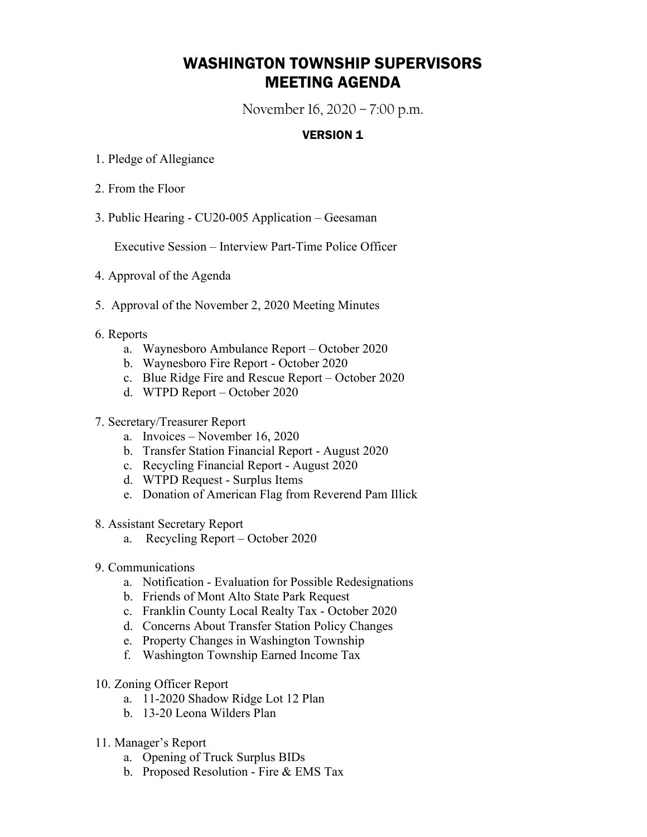## WASHINGTON TOWNSHIP SUPERVISORS MEETING AGENDA

November 16, 2020 – 7:00 p.m.

## **VERSION 1**

- 1. Pledge of Allegiance
- 2. From the Floor
- 3. Public Hearing CU20-005 Application Geesaman

Executive Session – Interview Part-Time Police Officer

- 4. Approval of the Agenda
- 5. Approval of the November 2, 2020 Meeting Minutes
- 6. Reports
	- a. Waynesboro Ambulance Report October 2020
	- b. Waynesboro Fire Report October 2020
	- c. Blue Ridge Fire and Rescue Report October 2020
	- d. WTPD Report October 2020

## 7. Secretary/Treasurer Report

- a. Invoices November 16, 2020
- b. Transfer Station Financial Report August 2020
- c. Recycling Financial Report August 2020
- d. WTPD Request Surplus Items
- e. Donation of American Flag from Reverend Pam Illick
- 8. Assistant Secretary Report
	- a. Recycling Report October 2020
- 9. Communications
	- a. Notification Evaluation for Possible Redesignations
	- b. Friends of Mont Alto State Park Request
	- c. Franklin County Local Realty Tax October 2020
	- d. Concerns About Transfer Station Policy Changes
	- e. Property Changes in Washington Township
	- f. Washington Township Earned Income Tax
- 10. Zoning Officer Report
	- a. 11-2020 Shadow Ridge Lot 12 Plan
	- b. 13-20 Leona Wilders Plan
- 11. Manager's Report
	- a. Opening of Truck Surplus BIDs
	- b. Proposed Resolution Fire & EMS Tax